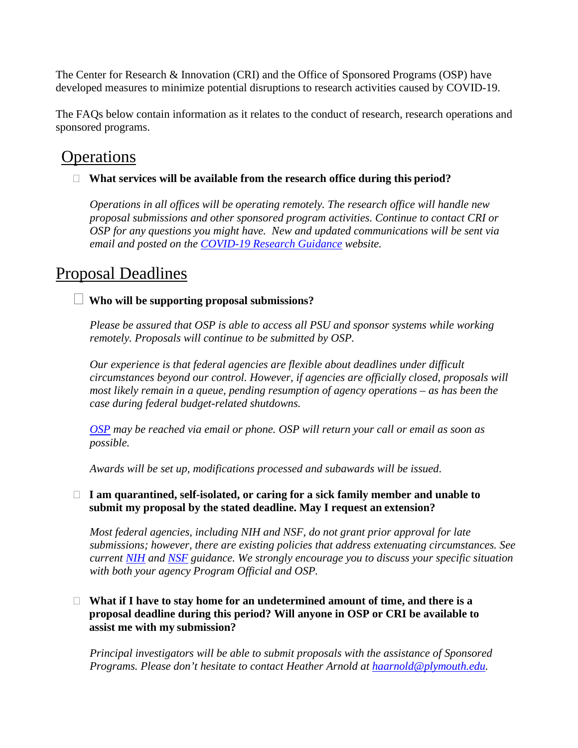The Center for Research & Innovation (CRI) and the Office of Sponsored Programs (OSP) have developed measures to minimize potential disruptions to research activities caused by COVID-19.

The FAQs below contain information as it relates to the conduct of research, research operations and sponsored programs.

# **Operations**

# **What services will be available from the research office during this period?**

*Operations in all offices will be operating remotely. The research office will handle new proposal submissions and other sponsored program activities. Continue to contact CRI or OSP for any questions you might have. New and updated communications will be sent via email and posted on the [COVID-19 Research Guidance](https://campus.plymouth.edu/research/research/covid19-guidance-for-researchers/) website.*

# Proposal Deadlines

# **Who will be supporting proposal submissions?**

*Please be assured that OSP is able to access all PSU and sponsor systems while working remotely. Proposals will continue to be submitted by OSP.*

*Our experience is that federal agencies are flexible about deadlines under difficult circumstances beyond our control. However, if agencies are officially closed, proposals will most likely remain in a queue, pending resumption of agency operations – as has been the case during federal budget-related shutdowns.*

*[OSP](https://campus.plymouth.edu/research-administration/) may be reached via email or phone. OSP will return your call or email as soon as possible.*

*Awards will be set up, modifications processed and subawards will be issued*.

# **I am quarantined, self-isolated, or caring for a sick family member and unable to submit my proposal by the stated deadline. May I request an extension?**

*Most federal agencies, including NIH and NSF, do not grant prior approval for late submissions; however, there are existing policies that address extenuating circumstances. See current [NIH](https://grants.nih.gov/grants/natural_disasters/corona-virus.htm) and [NSF](https://www.nsf.gov/news/special_reports/coronavirus/) guidance. We strongly encourage you to discuss your specific situation with both your agency Program Official and OSP.*

## **What if I have to stay home for an undetermined amount of time, and there is a proposal deadline during this period? Will anyone in OSP or CRI be available to assist me with my submission?**

*Principal investigators will be able to submit proposals with the assistance of Sponsored Programs. Please don't hesitate to contact Heather Arnold at [haarnold@plymouth.edu.](mailto:haarnold@plymouth.edu)*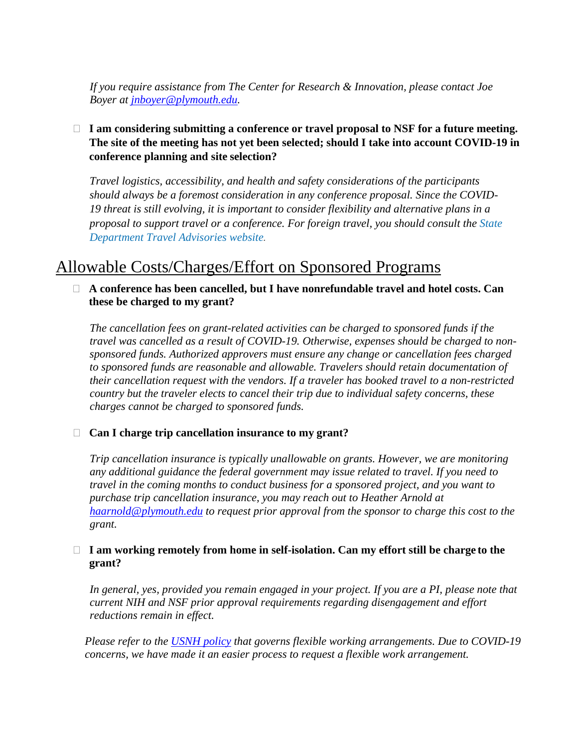*If you require assistance from The Center for Research & Innovation, please contact Joe Boyer at [jnboyer@plymouth.edu.](mailto:jnboyer@plymouth.edu)*

# **I am considering submitting a conference or travel proposal to NSF for a future meeting. The site of the meeting has not yet been selected; should I take into account COVID-19 in conference planning and site selection?**

*Travel logistics, accessibility, and health and safety considerations of the participants should always be a foremost consideration in any conference proposal. Since the COVID-19 threat is still evolving, it is important to consider flexibility and alternative plans in a proposal to support travel or a conference. For foreign travel, you should consult the [State](https://travel.state.gov/content/travel/en/traveladvisories/traveladvisories.html/)  [Department Travel Advisories website](https://travel.state.gov/content/travel/en/traveladvisories/traveladvisories.html/).*

# Allowable Costs/Charges/Effort on Sponsored Programs

#### **A conference has been cancelled, but I have nonrefundable travel and hotel costs. Can these be charged to my grant?**

*The cancellation fees on grant-related activities can be charged to sponsored funds if the travel was cancelled as a result of COVID-19. Otherwise, expenses should be charged to nonsponsored funds. Authorized approvers must ensure any change or cancellation fees charged to sponsored funds are reasonable and allowable. Travelers should retain documentation of their cancellation request with the vendors. If a traveler has booked travel to a non-restricted country but the traveler elects to cancel their trip due to individual safety concerns, these charges cannot be charged to sponsored funds.*

## **Can I charge trip cancellation insurance to my grant?**

*Trip cancellation insurance is typically unallowable on grants. However, we are monitoring any additional guidance the federal government may issue related to travel. If you need to travel in the coming months to conduct business for a sponsored project, and you want to purchase trip cancellation insurance, you may reach out to Heather Arnold at [haarnold@plymouth.edu](mailto:haarnold@plymouth.edu) to request prior approval from the sponsor to charge this cost to the grant.*

#### **I am working remotely from home in self-isolation. Can my effort still be charge to the grant?**

*In general, yes, provided you remain engaged in your project. If you are a PI, please note that current NIH and NSF prior approval requirements regarding disengagement and effort reductions remain in effect.*

*Please refer to the [USNH policy](https://www.usnh.edu/policy/usy/v-personnel-policies/c-employment#usyvc213) that governs flexible working arrangements. Due to COVID-19 concerns, we have made it an easier process to request a flexible work arrangement.*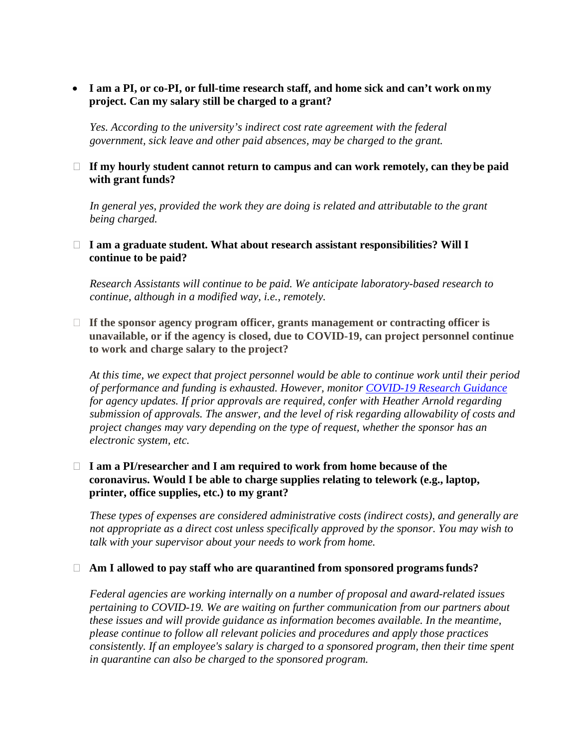• **I am a PI, or co-PI, or full-time research staff, and home sick and can't work on my project. Can my salary still be charged to a grant?**

*Yes. According to the university's indirect cost rate agreement with the federal government, sick leave and other paid absences, may be charged to the grant.*

#### **If my hourly student cannot return to campus and can work remotely, can theybe paid with grant funds?**

*In general yes, provided the work they are doing is related and attributable to the grant being charged.*

#### **I am a graduate student. What about research assistant responsibilities? Will I continue to be paid?**

*Research Assistants will continue to be paid. We anticipate laboratory-based research to continue, although in a modified way, i.e., remotely.*

 **If the sponsor agency program officer, grants management or contracting officer is unavailable, or if the agency is closed, due to COVID-19, can project personnel continue to work and charge salary to the project?**

*At this time, we expect that project personnel would be able to continue work until their period of performance and funding is exhausted. However, monitor [COVID-19 Research Guidance](https://campus.plymouth.edu/research/) for agency updates. If prior approvals are required, confer with Heather Arnold regarding submission of approvals. The answer, and the level of risk regarding allowability of costs and project changes may vary depending on the type of request, whether the sponsor has an electronic system, etc.*

#### **I am a PI/researcher and I am required to work from home because of the coronavirus. Would I be able to charge supplies relating to telework (e.g., laptop, printer, office supplies, etc.) to my grant?**

*These types of expenses are considered administrative costs (indirect costs), and generally are not appropriate as a direct cost unless specifically approved by the sponsor. You may wish to talk with your supervisor about your needs to work from home.*

#### **Am I allowed to pay staff who are quarantined from sponsored programsfunds?**

*Federal agencies are working internally on a number of proposal and award-related issues pertaining to COVID-19. We are waiting on further communication from our partners about these issues and will provide guidance as information becomes available. In the meantime, please continue to follow all relevant policies and procedures and apply those practices consistently. If an employee's salary is charged to a sponsored program, then their time spent in quarantine can also be charged to the sponsored program.*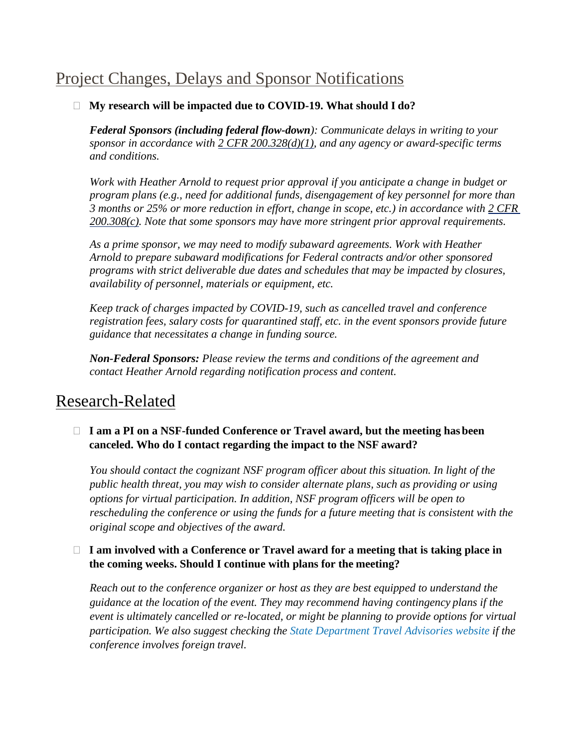# Project Changes, Delays and Sponsor Notifications

# **My research will be impacted due to COVID-19. What should I do?**

*Federal Sponsors (including federal flow-down): Communicate delays in writing to your sponsor in accordance with [2 CFR 200.328\(d\)\(1\),](https://www.ecfr.gov/cgi-bin/text-idx?SID=704835d27377ef5213a51c149de40cab&node=2%3A1.1.2.2.1&rgn=div5&se2.1.200_1328) and any agency or award-specific terms and conditions.*

*Work with Heather Arnold to request prior approval if you anticipate a change in budget or program plans (e.g., need for additional funds, disengagement of key personnel for more than 3 months or 25% or more reduction in effort, change in scope, etc.) in accordance with [2 CFR](https://www.ecfr.gov/cgi-bin/text-idx?SID=704835d27377ef5213a51c149de40cab&node=2%3A1.1.2.2.1&rgn=div5&se2.1.200_1308)  [200.308\(c\).](https://www.ecfr.gov/cgi-bin/text-idx?SID=704835d27377ef5213a51c149de40cab&node=2%3A1.1.2.2.1&rgn=div5&se2.1.200_1308) Note that some sponsors may have more stringent prior approval requirements.*

*As a prime sponsor, we may need to modify subaward agreements. Work with Heather Arnold to prepare subaward modifications for Federal contracts and/or other sponsored programs with strict deliverable due dates and schedules that may be impacted by closures, availability of personnel, materials or equipment, etc.*

*Keep track of charges impacted by COVID-19, such as cancelled travel and conference registration fees, salary costs for quarantined staff, etc. in the event sponsors provide future guidance that necessitates a change in funding source.*

*Non-Federal Sponsors: Please review the terms and conditions of the agreement and contact Heather Arnold regarding notification process and content.*

# Research-Related

# □ I am a PI on a NSF-funded Conference or Travel award, but the meeting has been **canceled. Who do I contact regarding the impact to the NSF award?**

*You should contact the cognizant NSF program officer about this situation. In light of the public health threat, you may wish to consider alternate plans, such as providing or using options for virtual participation. In addition, NSF program officers will be open to rescheduling the conference or using the funds for a future meeting that is consistent with the original scope and objectives of the award.*

# □ I am involved with a Conference or Travel award for a meeting that is taking place in **the coming weeks. Should I continue with plans for the meeting?**

*Reach out to the conference organizer or host as they are best equipped to understand the guidance at the location of the event. They may recommend having contingency plans if the event is ultimately cancelled or re-located, or might be planning to provide options for virtual participation. We also suggest checking the [State Department Travel](https://travel.state.gov/content/travel/en/traveladvisories/traveladvisories.html/) [Advisories website i](https://travel.state.gov/content/travel/en/traveladvisories/traveladvisories.html/)f the conference involves foreign travel.*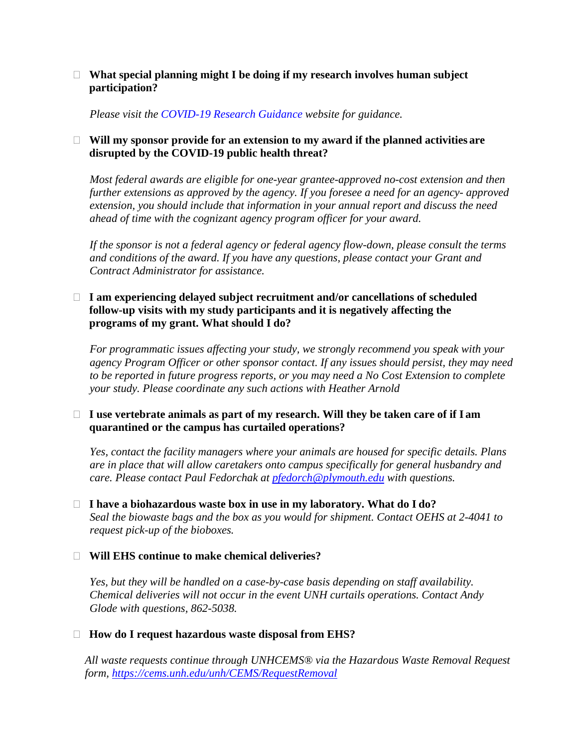#### **What special planning might I be doing if my research involves human subject participation?**

*Please visit the [COVID-19 Research Guidance](https://campus.plymouth.edu/research/research/covid19-guidance-for-researchers/) website for guidance.*

## **Will my sponsor provide for an extension to my award if the planned activities are disrupted by the COVID-19 public health threat?**

*Most federal awards are eligible for one-year grantee-approved no-cost extension and then further extensions as approved by the agency. If you foresee a need for an agency- approved extension, you should include that information in your annual report and discuss the need ahead of time with the cognizant agency program officer for your award.*

*If the sponsor is not a federal agency or federal agency flow-down, please consult the terms and conditions of the award. If you have any questions, please contact your Grant and Contract Administrator for assistance.*

#### **I am experiencing delayed subject recruitment and/or cancellations of scheduled follow-up visits with my study participants and it is negatively affecting the programs of my grant. What should I do?**

*For programmatic issues affecting your study, we strongly recommend you speak with your agency Program Officer or other sponsor contact. If any issues should persist, they may need to be reported in future progress reports, or you may need a No Cost Extension to complete your study. Please coordinate any such actions with Heather Arnold*

## **I use vertebrate animals as part of my research. Will they be taken care of if I am quarantined or the campus has curtailed operations?**

*Yes, contact the facility managers where your animals are housed for specific details. Plans are in place that will allow caretakers onto campus specifically for general husbandry and care. Please contact Paul Fedorchak at [pfedorch@plymouth.edu](mailto:pfedorch@plymouth.edu) with questions.*

 **I have a biohazardous waste box in use in my laboratory. What do I do?** *Seal the biowaste bags and the box as you would for shipment. Contact OEHS at 2-4041 to request pick-up of the bioboxes.*

## **Will EHS continue to make chemical deliveries?**

*Yes, but they will be handled on a case-by-case basis depending on staff availability. Chemical deliveries will not occur in the event UNH curtails operations. Contact Andy Glode with questions, 862-5038.*

## **How do I request hazardous waste disposal from EHS?**

*All waste requests continue through UNHCEMS® via the Hazardous Waste Removal Request form,<https://cems.unh.edu/unh/CEMS/RequestRemoval>*